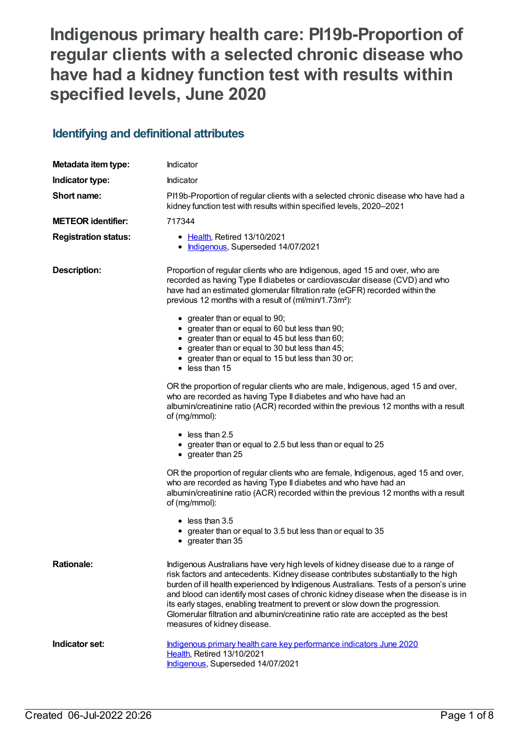# **Indigenous primary health care: PI19b-Proportion of regular clients with a selected chronic disease who have had a kidney function test with results within specified levels, June 2020**

### **Identifying and definitional attributes**

| Metadata item type:         | Indicator                                                                                                                                                                                                                                                                                                                                                                                                                                                                                                                                                                                                                                                                                                                                                                                                                                                                                                                                                                                                                                                                                                                                                                                                                                                                                                                                |  |
|-----------------------------|------------------------------------------------------------------------------------------------------------------------------------------------------------------------------------------------------------------------------------------------------------------------------------------------------------------------------------------------------------------------------------------------------------------------------------------------------------------------------------------------------------------------------------------------------------------------------------------------------------------------------------------------------------------------------------------------------------------------------------------------------------------------------------------------------------------------------------------------------------------------------------------------------------------------------------------------------------------------------------------------------------------------------------------------------------------------------------------------------------------------------------------------------------------------------------------------------------------------------------------------------------------------------------------------------------------------------------------|--|
| Indicator type:             | Indicator                                                                                                                                                                                                                                                                                                                                                                                                                                                                                                                                                                                                                                                                                                                                                                                                                                                                                                                                                                                                                                                                                                                                                                                                                                                                                                                                |  |
| Short name:                 | PI19b-Proportion of regular clients with a selected chronic disease who have had a<br>kidney function test with results within specified levels, 2020-2021                                                                                                                                                                                                                                                                                                                                                                                                                                                                                                                                                                                                                                                                                                                                                                                                                                                                                                                                                                                                                                                                                                                                                                               |  |
| <b>METEOR identifier:</b>   | 717344                                                                                                                                                                                                                                                                                                                                                                                                                                                                                                                                                                                                                                                                                                                                                                                                                                                                                                                                                                                                                                                                                                                                                                                                                                                                                                                                   |  |
| <b>Registration status:</b> | • Health, Retired 13/10/2021<br>• Indigenous, Superseded 14/07/2021                                                                                                                                                                                                                                                                                                                                                                                                                                                                                                                                                                                                                                                                                                                                                                                                                                                                                                                                                                                                                                                                                                                                                                                                                                                                      |  |
| <b>Description:</b>         | Proportion of regular clients who are Indigenous, aged 15 and over, who are<br>recorded as having Type II diabetes or cardiovascular disease (CVD) and who<br>have had an estimated glomerular filtration rate (eGFR) recorded within the<br>previous 12 months with a result of (ml/min/1.73m <sup>2</sup> ):<br>• greater than or equal to 90;<br>• greater than or equal to 60 but less than 90;<br>• greater than or equal to 45 but less than 60;<br>• greater than or equal to 30 but less than 45;<br>• greater than or equal to 15 but less than 30 or;<br>$\bullet$ less than 15<br>OR the proportion of regular clients who are male, Indigenous, aged 15 and over,<br>who are recorded as having Type II diabetes and who have had an<br>albumin/creatinine ratio (ACR) recorded within the previous 12 months with a result<br>of (mg/mmol):<br>$\bullet$ less than 2.5<br>• greater than or equal to 2.5 but less than or equal to 25<br>$\bullet$ greater than 25<br>OR the proportion of regular clients who are female, Indigenous, aged 15 and over,<br>who are recorded as having Type II diabetes and who have had an<br>albumin/creatinine ratio (ACR) recorded within the previous 12 months with a result<br>of (mg/mmol):<br>$\bullet$ less than 3.5<br>greater than or equal to 3.5 but less than or equal to 35 |  |
|                             | • greater than 35                                                                                                                                                                                                                                                                                                                                                                                                                                                                                                                                                                                                                                                                                                                                                                                                                                                                                                                                                                                                                                                                                                                                                                                                                                                                                                                        |  |
| <b>Rationale:</b>           | Indigenous Australians have very high levels of kidney disease due to a range of<br>risk factors and antecedents. Kidney disease contributes substantially to the high<br>burden of ill health experienced by Indigenous Australians. Tests of a person's urine<br>and blood can identify most cases of chronic kidney disease when the disease is in<br>its early stages, enabling treatment to prevent or slow down the progression.<br>Glomerular filtration and albumin/creatinine ratio rate are accepted as the best<br>measures of kidney disease.                                                                                                                                                                                                                                                                                                                                                                                                                                                                                                                                                                                                                                                                                                                                                                                |  |
| Indicator set:              | Indigenous primary health care key performance indicators June 2020<br>Health, Retired 13/10/2021<br>Indigenous, Superseded 14/07/2021                                                                                                                                                                                                                                                                                                                                                                                                                                                                                                                                                                                                                                                                                                                                                                                                                                                                                                                                                                                                                                                                                                                                                                                                   |  |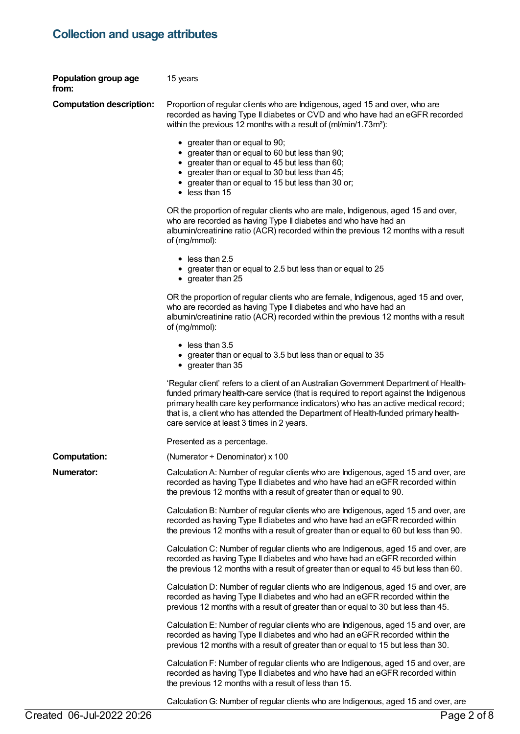# **Collection and usage attributes**

| Population group age<br>from:   | 15 years                                                                                                                                                                                                                                                                                                                                                                                               |
|---------------------------------|--------------------------------------------------------------------------------------------------------------------------------------------------------------------------------------------------------------------------------------------------------------------------------------------------------------------------------------------------------------------------------------------------------|
| <b>Computation description:</b> | Proportion of regular clients who are Indigenous, aged 15 and over, who are<br>recorded as having Type II diabetes or CVD and who have had an eGFR recorded<br>within the previous 12 months with a result of (ml/min/1.73m <sup>2</sup> ):                                                                                                                                                            |
|                                 | • greater than or equal to 90;<br>greater than or equal to 60 but less than 90;<br>• greater than or equal to 45 but less than 60;<br>greater than or equal to 30 but less than 45;<br>greater than or equal to 15 but less than 30 or;<br>$\bullet$ less than 15                                                                                                                                      |
|                                 | OR the proportion of regular clients who are male, Indigenous, aged 15 and over,<br>who are recorded as having Type II diabetes and who have had an<br>albumin/creatinine ratio (ACR) recorded within the previous 12 months with a result<br>of (mg/mmol):                                                                                                                                            |
|                                 | $\bullet$ less than 2.5<br>• greater than or equal to 2.5 but less than or equal to 25<br>$\bullet$ greater than 25                                                                                                                                                                                                                                                                                    |
|                                 | OR the proportion of regular clients who are female, Indigenous, aged 15 and over,<br>who are recorded as having Type II diabetes and who have had an<br>albumin/creatinine ratio (ACR) recorded within the previous 12 months with a result<br>of (mg/mmol):                                                                                                                                          |
|                                 | $\bullet$ less than 3.5<br>greater than or equal to 3.5 but less than or equal to 35<br>$\bullet$ greater than 35                                                                                                                                                                                                                                                                                      |
|                                 | 'Regular client' refers to a client of an Australian Government Department of Health-<br>funded primary health-care service (that is required to report against the Indigenous<br>primary health care key performance indicators) who has an active medical record;<br>that is, a client who has attended the Department of Health-funded primary health-<br>care service at least 3 times in 2 years. |
|                                 | Presented as a percentage.                                                                                                                                                                                                                                                                                                                                                                             |
| <b>Computation:</b>             | (Numerator $\div$ Denominator) x 100                                                                                                                                                                                                                                                                                                                                                                   |
| <b>Numerator:</b>               | Calculation A: Number of regular clients who are Indigenous, aged 15 and over, are<br>recorded as having Type II diabetes and who have had an eGFR recorded within<br>the previous 12 months with a result of greater than or equal to 90.                                                                                                                                                             |
|                                 | Calculation B: Number of regular clients who are Indigenous, aged 15 and over, are<br>recorded as having Type II diabetes and who have had an eGFR recorded within<br>the previous 12 months with a result of greater than or equal to 60 but less than 90.                                                                                                                                            |
|                                 | Calculation C: Number of regular clients who are Indigenous, aged 15 and over, are<br>recorded as having Type II diabetes and who have had an eGFR recorded within<br>the previous 12 months with a result of greater than or equal to 45 but less than 60.                                                                                                                                            |
|                                 | Calculation D: Number of regular clients who are Indigenous, aged 15 and over, are<br>recorded as having Type II diabetes and who had an eGFR recorded within the<br>previous 12 months with a result of greater than or equal to 30 but less than 45.                                                                                                                                                 |
|                                 | Calculation E: Number of regular clients who are Indigenous, aged 15 and over, are<br>recorded as having Type II diabetes and who had an eGFR recorded within the<br>previous 12 months with a result of greater than or equal to 15 but less than 30.                                                                                                                                                 |
|                                 | Calculation F: Number of regular clients who are Indigenous, aged 15 and over, are<br>recorded as having Type II diabetes and who have had an eGFR recorded within<br>the previous 12 months with a result of less than 15.                                                                                                                                                                            |
|                                 | Calculation G: Number of regular clients who are Indigenous, aged 15 and over, are                                                                                                                                                                                                                                                                                                                     |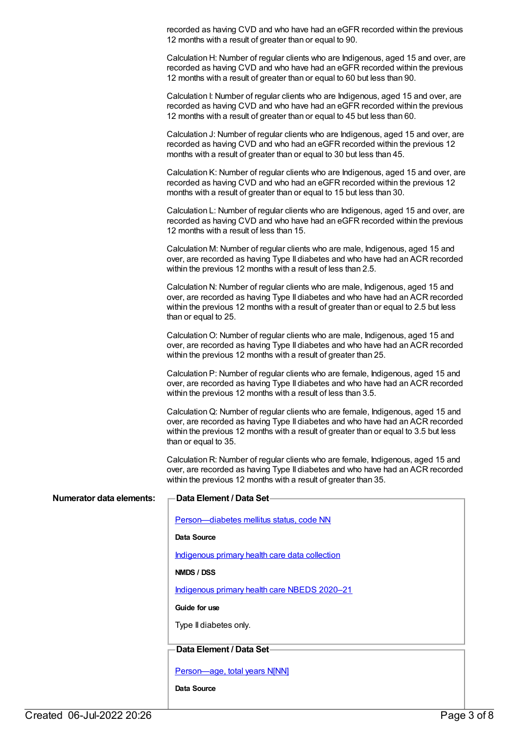recorded as having CVD and who have had an eGFR recorded within the previous 12 months with a result of greater than or equal to 90.

Calculation H: Number of regular clients who are Indigenous, aged 15 and over, are recorded as having CVD and who have had an eGFR recorded within the previous 12 months with a result of greater than or equal to 60 but less than 90.

Calculation I: Number of regular clients who are Indigenous, aged 15 and over, are recorded as having CVD and who have had an eGFR recorded within the previous 12 months with a result of greater than or equal to 45 but less than 60.

Calculation J: Number of regular clients who are Indigenous, aged 15 and over, are recorded as having CVD and who had an eGFR recorded within the previous 12 months with a result of greater than or equal to 30 but less than 45.

Calculation K: Number of regular clients who are Indigenous, aged 15 and over, are recorded as having CVD and who had an eGFR recorded within the previous 12 months with a result of greater than or equal to 15 but less than 30.

Calculation L: Number of regular clients who are Indigenous, aged 15 and over, are recorded as having CVD and who have had an eGFR recorded within the previous 12 months with a result of less than 15.

Calculation M: Number of regular clients who are male, Indigenous, aged 15 and over, are recorded as having Type II diabetes and who have had an ACR recorded within the previous 12 months with a result of less than 2.5.

Calculation N: Number of regular clients who are male, Indigenous, aged 15 and over, are recorded as having Type II diabetes and who have had an ACR recorded within the previous 12 months with a result of greater than or equal to 2.5 but less than or equal to 25.

CalculationO: Number of regular clients who are male, Indigenous, aged 15 and over, are recorded as having Type II diabetes and who have had an ACR recorded within the previous 12 months with a result of greater than 25.

Calculation P: Number of regular clients who are female, Indigenous, aged 15 and over, are recorded as having Type II diabetes and who have had an ACR recorded within the previous 12 months with a result of less than 3.5.

CalculationQ: Number of regular clients who are female, Indigenous, aged 15 and over, are recorded as having Type II diabetes and who have had an ACR recorded within the previous 12 months with a result of greater than or equal to 3.5 but less than or equal to 35.

Calculation R: Number of regular clients who are female, Indigenous, aged 15 and over, are recorded as having Type II diabetes and who have had an ACR recorded within the previous 12 months with a result of greater than 35.

| Numerator data elements: | Data Element / Data Set-                       |
|--------------------------|------------------------------------------------|
|                          | Person-diabetes mellitus status, code NN       |
|                          | Data Source                                    |
|                          | Indigenous primary health care data collection |
|                          | NMDS / DSS                                     |
|                          | Indigenous primary health care NBEDS 2020-21   |
|                          | Guide for use                                  |
|                          | Type II diabetes only.                         |
|                          |                                                |
|                          | Data Element / Data Set-                       |
|                          | Person-age, total years N[NN]                  |
|                          | Data Source                                    |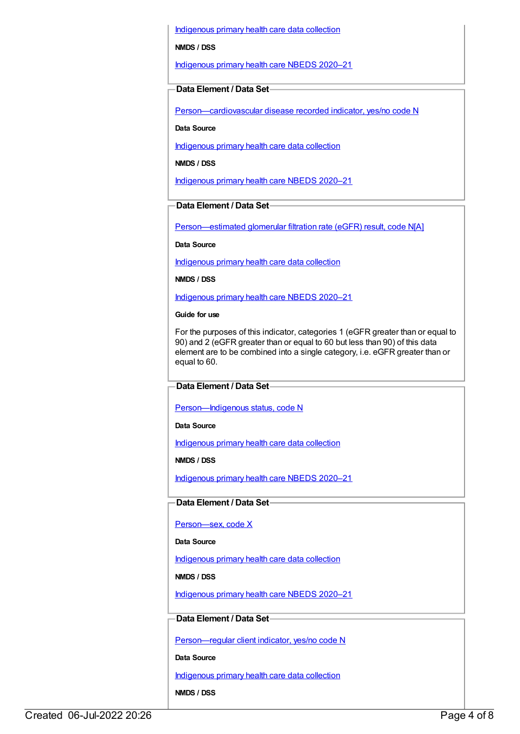[Indigenous](https://meteor.aihw.gov.au/content/430643) primary health care data collection

#### **NMDS / DSS**

[Indigenous](https://meteor.aihw.gov.au/content/715320) primary health care NBEDS 2020–21

#### **Data Element / Data Set**

[Person—cardiovascular](https://meteor.aihw.gov.au/content/465948) disease recorded indicator, yes/no code N

**Data Source**

[Indigenous](https://meteor.aihw.gov.au/content/430643) primary health care data collection

**NMDS / DSS**

[Indigenous](https://meteor.aihw.gov.au/content/715320) primary health care NBEDS 2020–21

#### **Data Element / Data Set**

[Person—estimated](https://meteor.aihw.gov.au/content/503010) glomerular filtration rate (eGFR) result, code N[A]

**Data Source**

[Indigenous](https://meteor.aihw.gov.au/content/430643) primary health care data collection

**NMDS / DSS**

[Indigenous](https://meteor.aihw.gov.au/content/715320) primary health care NBEDS 2020–21

#### **Guide for use**

For the purposes of this indicator, categories 1 (eGFR greater than or equal to 90) and 2 (eGFR greater than or equal to 60 but less than 90) of this data element are to be combined into a single category, i.e. eGFR greater than or equal to 60.

#### **Data Element / Data Set**

[Person—Indigenous](https://meteor.aihw.gov.au/content/602543) status, code N

**Data Source**

[Indigenous](https://meteor.aihw.gov.au/content/430643) primary health care data collection

**NMDS / DSS**

[Indigenous](https://meteor.aihw.gov.au/content/715320) primary health care NBEDS 2020–21

#### **Data Element / Data Set**

[Person—sex,](https://meteor.aihw.gov.au/content/635126) code X

**Data Source**

[Indigenous](https://meteor.aihw.gov.au/content/430643) primary health care data collection

**NMDS / DSS**

[Indigenous](https://meteor.aihw.gov.au/content/715320) primary health care NBEDS 2020-21

#### **Data Element / Data Set**

[Person—regular](https://meteor.aihw.gov.au/content/686291) client indicator, yes/no code N

**Data Source**

[Indigenous](https://meteor.aihw.gov.au/content/430643) primary health care data collection

**NMDS / DSS**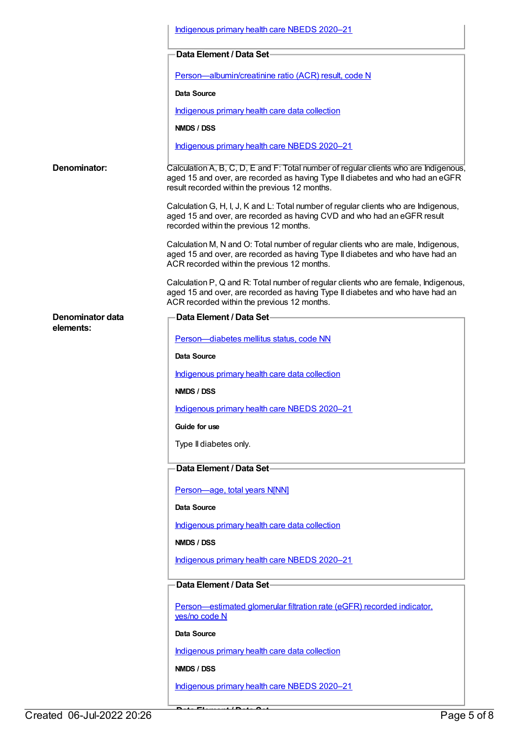|                               | Indigenous primary health care NBEDS 2020-21                                                                                                                                                                            |
|-------------------------------|-------------------------------------------------------------------------------------------------------------------------------------------------------------------------------------------------------------------------|
|                               | Data Element / Data Set-                                                                                                                                                                                                |
|                               | Person-albumin/creatinine ratio (ACR) result, code N                                                                                                                                                                    |
|                               | Data Source                                                                                                                                                                                                             |
|                               | Indigenous primary health care data collection                                                                                                                                                                          |
|                               | NMDS / DSS                                                                                                                                                                                                              |
|                               | Indigenous primary health care NBEDS 2020-21                                                                                                                                                                            |
| Denominator:                  | Calculation A, B, C, D, E and F: Total number of regular clients who are Indigenous,<br>aged 15 and over, are recorded as having Type II diabetes and who had an eGFR<br>result recorded within the previous 12 months. |
|                               | Calculation G, H, I, J, K and L: Total number of regular clients who are Indigenous,<br>aged 15 and over, are recorded as having CVD and who had an eGFR result<br>recorded within the previous 12 months.              |
|                               | Calculation M, N and O: Total number of regular clients who are male, Indigenous,<br>aged 15 and over, are recorded as having Type II diabetes and who have had an<br>ACR recorded within the previous 12 months.       |
|                               | Calculation P, Q and R: Total number of regular clients who are female, Indigenous,<br>aged 15 and over, are recorded as having Type II diabetes and who have had an<br>ACR recorded within the previous 12 months.     |
| Denominator data<br>elements: | Data Element / Data Set-                                                                                                                                                                                                |
|                               | Person-diabetes mellitus status, code NN                                                                                                                                                                                |
|                               | <b>Data Source</b>                                                                                                                                                                                                      |
|                               | Indigenous primary health care data collection                                                                                                                                                                          |
|                               | NMDS / DSS                                                                                                                                                                                                              |
|                               | Indigenous primary health care NBEDS 2020-21                                                                                                                                                                            |
|                               | Guide for use                                                                                                                                                                                                           |
|                               | Type II diabetes only.                                                                                                                                                                                                  |
|                               | Data Element / Data Set-                                                                                                                                                                                                |
|                               | Person-age, total years N[NN]                                                                                                                                                                                           |
|                               | <b>Data Source</b>                                                                                                                                                                                                      |
|                               | Indigenous primary health care data collection                                                                                                                                                                          |
|                               | NMDS / DSS                                                                                                                                                                                                              |
|                               | Indigenous primary health care NBEDS 2020-21                                                                                                                                                                            |
|                               | Data Element / Data Set                                                                                                                                                                                                 |
|                               | Person-estimated glomerular filtration rate (eGFR) recorded indicator,                                                                                                                                                  |
|                               | yes/no code N                                                                                                                                                                                                           |
|                               | Data Source                                                                                                                                                                                                             |
|                               | Indigenous primary health care data collection                                                                                                                                                                          |
|                               | NMDS / DSS                                                                                                                                                                                                              |
|                               | Indigenous primary health care NBEDS 2020-21                                                                                                                                                                            |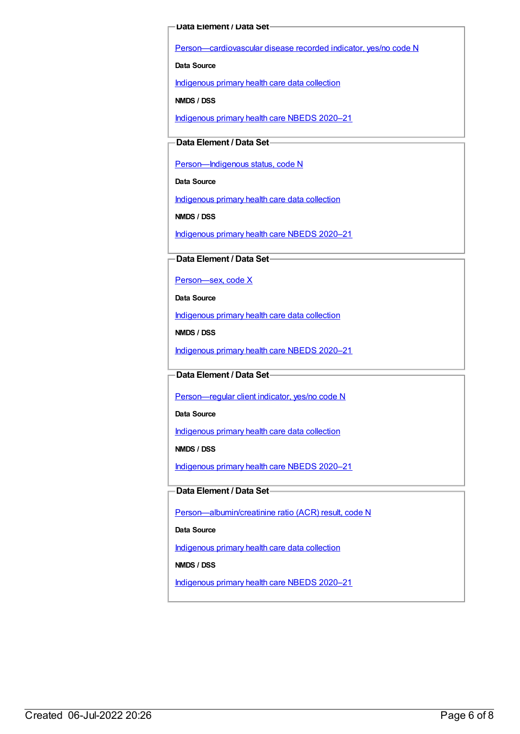#### **Data Element / Data Set**

[Person—cardiovascular](https://meteor.aihw.gov.au/content/465948) disease recorded indicator, yes/no code N

**Data Source**

[Indigenous](https://meteor.aihw.gov.au/content/430643) primary health care data collection

**NMDS / DSS**

[Indigenous](https://meteor.aihw.gov.au/content/715320) primary health care NBEDS 2020–21

#### **Data Element / Data Set**

Person-Indigenous status, code N

**Data Source**

[Indigenous](https://meteor.aihw.gov.au/content/430643) primary health care data collection

**NMDS / DSS**

[Indigenous](https://meteor.aihw.gov.au/content/715320) primary health care NBEDS 2020–21

**Data Element / Data Set**

Person-sex, code X

**Data Source**

[Indigenous](https://meteor.aihw.gov.au/content/430643) primary health care data collection

**NMDS / DSS**

[Indigenous](https://meteor.aihw.gov.au/content/715320) primary health care NBEDS 2020–21

**Data Element / Data Set**

[Person—regular](https://meteor.aihw.gov.au/content/686291) client indicator, yes/no code N

**Data Source**

[Indigenous](https://meteor.aihw.gov.au/content/430643) primary health care data collection

**NMDS / DSS**

[Indigenous](https://meteor.aihw.gov.au/content/715320) primary health care NBEDS 2020–21

#### **Data Element / Data Set**

[Person—albumin/creatinine](https://meteor.aihw.gov.au/content/699033) ratio (ACR) result, code N

**Data Source**

[Indigenous](https://meteor.aihw.gov.au/content/430643) primary health care data collection

**NMDS / DSS**

[Indigenous](https://meteor.aihw.gov.au/content/715320) primary health care NBEDS 2020–21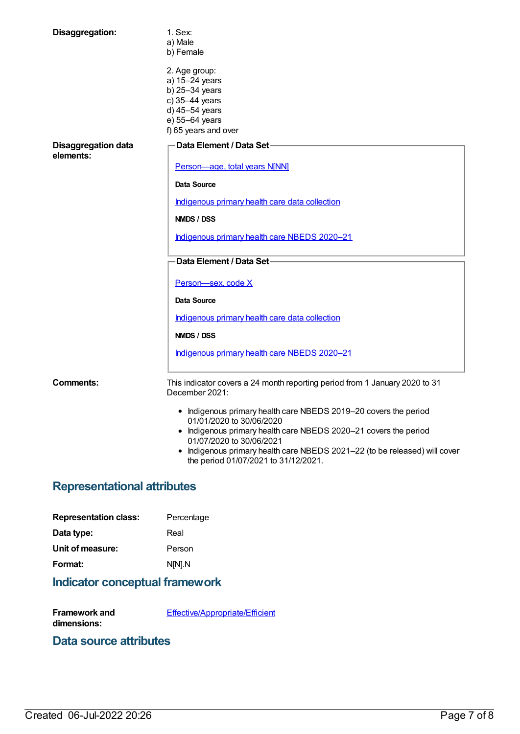| Disaggregation:                         | 1. Sex:<br>a) Male<br>b) Female                                                                                                                                                                                                                                                                                    |
|-----------------------------------------|--------------------------------------------------------------------------------------------------------------------------------------------------------------------------------------------------------------------------------------------------------------------------------------------------------------------|
|                                         | 2. Age group:<br>a) 15-24 years<br>b) 25-34 years<br>c) 35-44 years<br>d) 45-54 years<br>e) 55-64 years<br>f) 65 years and over                                                                                                                                                                                    |
| <b>Disaggregation data</b><br>elements: | Data Element / Data Set-                                                                                                                                                                                                                                                                                           |
|                                         | Person-age, total years N[NN]                                                                                                                                                                                                                                                                                      |
|                                         | Data Source                                                                                                                                                                                                                                                                                                        |
|                                         | Indigenous primary health care data collection                                                                                                                                                                                                                                                                     |
|                                         | NMDS / DSS                                                                                                                                                                                                                                                                                                         |
|                                         | Indigenous primary health care NBEDS 2020-21                                                                                                                                                                                                                                                                       |
|                                         | Data Element / Data Set-                                                                                                                                                                                                                                                                                           |
|                                         | Person-sex, code X                                                                                                                                                                                                                                                                                                 |
|                                         | Data Source                                                                                                                                                                                                                                                                                                        |
|                                         | Indigenous primary health care data collection                                                                                                                                                                                                                                                                     |
|                                         | <b>NMDS / DSS</b>                                                                                                                                                                                                                                                                                                  |
|                                         | Indigenous primary health care NBEDS 2020-21                                                                                                                                                                                                                                                                       |
| Comments:                               | This indicator covers a 24 month reporting period from 1 January 2020 to 31<br>December 2021:                                                                                                                                                                                                                      |
|                                         | • Indigenous primary health care NBEDS 2019-20 covers the period<br>01/01/2020 to 30/06/2020<br>• Indigenous primary health care NBEDS 2020-21 covers the period<br>01/07/2020 to 30/06/2021<br>• Indigenous primary health care NBEDS 2021-22 (to be released) will cover<br>the period 01/07/2021 to 31/12/2021. |

# **Representational attributes**

| <b>Representation class:</b> | Percentage |
|------------------------------|------------|
| Data type:                   | Real       |
| Unit of measure:             | Person     |
| Format:                      | N[N].N     |
|                              |            |

# **Indicator conceptual framework**

**Framework and dimensions:** [Effective/Appropriate/Efficient](https://meteor.aihw.gov.au/content/410681)

### **Data source attributes**